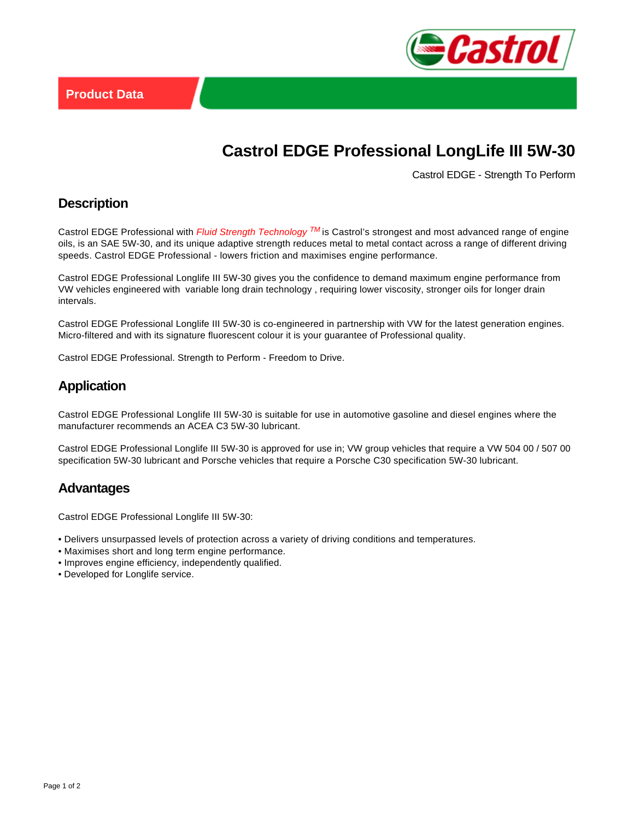

# **Castrol EDGE Professional LongLife III 5W-30**

Castrol EDGE - Strength To Perform

#### **Description**

Castrol EDGE Professional with Fluid Strength Technology  $^{TM}$  is Castrol's strongest and most advanced range of engine oils, is an SAE 5W-30, and its unique adaptive strength reduces metal to metal contact across a range of different driving speeds. Castrol EDGE Professional - lowers friction and maximises engine performance.

Castrol EDGE Professional Longlife III 5W-30 gives you the confidence to demand maximum engine performance from VW vehicles engineered with variable long drain technology , requiring lower viscosity, stronger oils for longer drain intervals.

Castrol EDGE Professional Longlife III 5W-30 is co-engineered in partnership with VW for the latest generation engines. Micro-filtered and with its signature fluorescent colour it is your guarantee of Professional quality.

Castrol EDGE Professional. Strength to Perform - Freedom to Drive.

#### **Application**

Castrol EDGE Professional Longlife III 5W-30 is suitable for use in automotive gasoline and diesel engines where the manufacturer recommends an ACEA C3 5W-30 lubricant.

Castrol EDGE Professional Longlife III 5W-30 is approved for use in; VW group vehicles that require a VW 504 00 / 507 00 specification 5W-30 lubricant and Porsche vehicles that require a Porsche C30 specification 5W-30 lubricant.

#### **Advantages**

Castrol EDGE Professional Longlife III 5W-30:

- Delivers unsurpassed levels of protection across a variety of driving conditions and temperatures.
- Maximises short and long term engine performance.
- Improves engine efficiency, independently qualified.
- Developed for Longlife service.